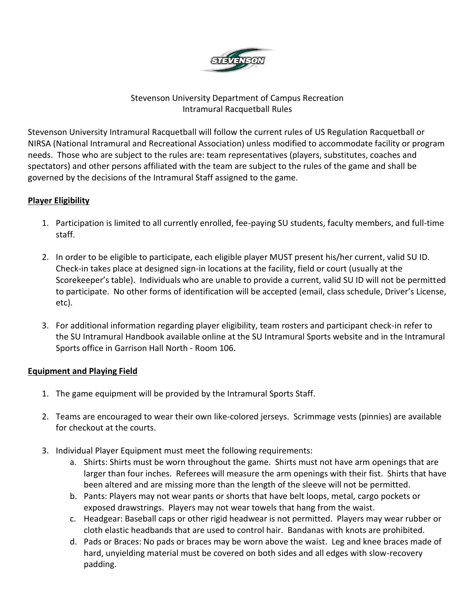

## Stevenson University Department of Campus Recreation Intramural Racquetball Rules

Stevenson University Intramural Racquetball will follow the current rules of US Regulation Racquetball or NIRSA (National Intramural and Recreational Association) unless modified to accommodate facility or program needs. Those who are subject to the rules are: team representatives (players, substitutes, coaches and spectators) and other persons affiliated with the team are subject to the rules of the game and shall be governed by the decisions of the Intramural Staff assigned to the game.

### **Player Eligibility**

- 1. Participation is limited to all currently enrolled, fee-paying SU students, faculty members, and full-time staff.
- 2. In order to be eligible to participate, each eligible player MUST present his/her current, valid SU ID. Check-in takes place at designed sign-in locations at the facility, field or court (usually at the Scorekeeper's table). Individuals who are unable to provide a current, valid SU ID will not be permitted to participate. No other forms of identification will be accepted (email, class schedule, Driver's License, etc).
- 3. For additional information regarding player eligibility, team rosters and participant check-in refer to the SU Intramural Handbook available online at the SU Intramural Sports website and in the Intramural Sports office in Garrison Hall North - Room 106.

### **Equipment and Playing Field**

- 1. The game equipment will be provided by the Intramural Sports Staff.
- 2. Teams are encouraged to wear their own like-colored jerseys. Scrimmage vests (pinnies) are available for checkout at the courts.
- 3. Individual Player Equipment must meet the following requirements:
	- a. Shirts: Shirts must be worn throughout the game. Shirts must not have arm openings that are larger than four inches. Referees will measure the arm openings with their fist. Shirts that have been altered and are missing more than the length of the sleeve will not be permitted.
	- b. Pants: Players may not wear pants or shorts that have belt loops, metal, cargo pockets or exposed drawstrings. Players may not wear towels that hang from the waist.
	- c. Headgear: Baseball caps or other rigid headwear is not permitted. Players may wear rubber or cloth elastic headbands that are used to control hair. Bandanas with knots are prohibited.
	- d. Pads or Braces: No pads or braces may be worn above the waist. Leg and knee braces made of hard, unyielding material must be covered on both sides and all edges with slow-recovery padding.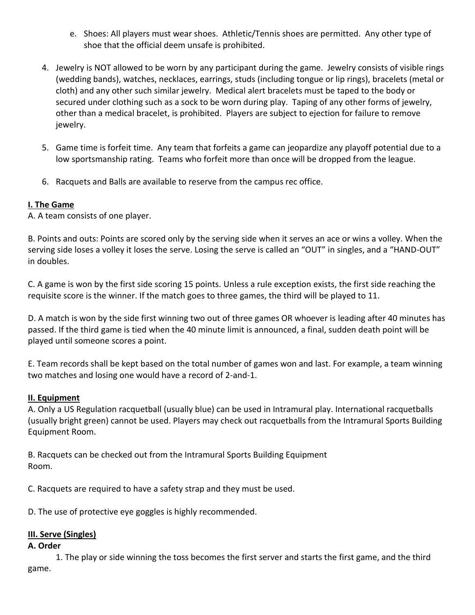- e. Shoes: All players must wear shoes. Athletic/Tennis shoes are permitted. Any other type of shoe that the official deem unsafe is prohibited.
- 4. Jewelry is NOT allowed to be worn by any participant during the game. Jewelry consists of visible rings (wedding bands), watches, necklaces, earrings, studs (including tongue or lip rings), bracelets (metal or cloth) and any other such similar jewelry. Medical alert bracelets must be taped to the body or secured under clothing such as a sock to be worn during play. Taping of any other forms of jewelry, other than a medical bracelet, is prohibited. Players are subject to ejection for failure to remove jewelry.
- 5. Game time is forfeit time. Any team that forfeits a game can jeopardize any playoff potential due to a low sportsmanship rating. Teams who forfeit more than once will be dropped from the league.
- 6. Racquets and Balls are available to reserve from the campus rec office.

## **I. The Game**

A. A team consists of one player.

B. Points and outs: Points are scored only by the serving side when it serves an ace or wins a volley. When the serving side loses a volley it loses the serve. Losing the serve is called an "OUT" in singles, and a "HAND-OUT" in doubles.

C. A game is won by the first side scoring 15 points. Unless a rule exception exists, the first side reaching the requisite score is the winner. If the match goes to three games, the third will be played to 11.

D. A match is won by the side first winning two out of three games OR whoever is leading after 40 minutes has passed. If the third game is tied when the 40 minute limit is announced, a final, sudden death point will be played until someone scores a point.

E. Team records shall be kept based on the total number of games won and last. For example, a team winning two matches and losing one would have a record of 2-and-1.

### **II. Equipment**

A. Only a US Regulation racquetball (usually blue) can be used in Intramural play. International racquetballs (usually bright green) cannot be used. Players may check out racquetballs from the Intramural Sports Building Equipment Room.

B. Racquets can be checked out from the Intramural Sports Building Equipment Room.

C. Racquets are required to have a safety strap and they must be used.

D. The use of protective eye goggles is highly recommended.

### **III. Serve (Singles)**

#### **A. Order**

1. The play or side winning the toss becomes the first server and starts the first game, and the third game.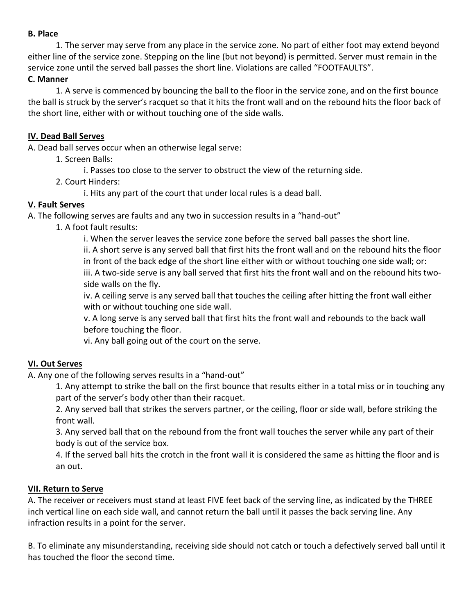#### **B. Place**

1. The server may serve from any place in the service zone. No part of either foot may extend beyond either line of the service zone. Stepping on the line (but not beyond) is permitted. Server must remain in the service zone until the served ball passes the short line. Violations are called "FOOTFAULTS".

## **C. Manner**

1. A serve is commenced by bouncing the ball to the floor in the service zone, and on the first bounce the ball is struck by the server's racquet so that it hits the front wall and on the rebound hits the floor back of the short line, either with or without touching one of the side walls.

### **IV. Dead Ball Serves**

A. Dead ball serves occur when an otherwise legal serve:

- 1. Screen Balls:
	- i. Passes too close to the server to obstruct the view of the returning side.
- 2. Court Hinders:

i. Hits any part of the court that under local rules is a dead ball.

### **V. Fault Serves**

A. The following serves are faults and any two in succession results in a "hand-out"

1. A foot fault results:

i. When the server leaves the service zone before the served ball passes the short line.

ii. A short serve is any served ball that first hits the front wall and on the rebound hits the floor in front of the back edge of the short line either with or without touching one side wall; or: iii. A two-side serve is any ball served that first hits the front wall and on the rebound hits two-

side walls on the fly.

iv. A ceiling serve is any served ball that touches the ceiling after hitting the front wall either with or without touching one side wall.

v. A long serve is any served ball that first hits the front wall and rebounds to the back wall before touching the floor.

vi. Any ball going out of the court on the serve.

### **VI. Out Serves**

A. Any one of the following serves results in a "hand-out"

1. Any attempt to strike the ball on the first bounce that results either in a total miss or in touching any part of the server's body other than their racquet.

2. Any served ball that strikes the servers partner, or the ceiling, floor or side wall, before striking the front wall.

3. Any served ball that on the rebound from the front wall touches the server while any part of their body is out of the service box.

4. If the served ball hits the crotch in the front wall it is considered the same as hitting the floor and is an out.

### **VII. Return to Serve**

A. The receiver or receivers must stand at least FIVE feet back of the serving line, as indicated by the THREE inch vertical line on each side wall, and cannot return the ball until it passes the back serving line. Any infraction results in a point for the server.

B. To eliminate any misunderstanding, receiving side should not catch or touch a defectively served ball until it has touched the floor the second time.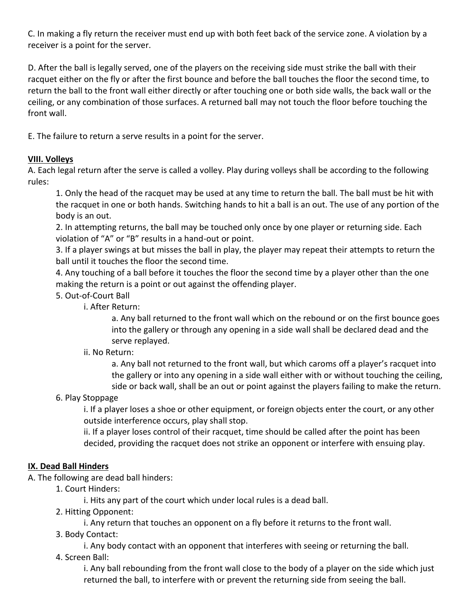C. In making a fly return the receiver must end up with both feet back of the service zone. A violation by a receiver is a point for the server.

D. After the ball is legally served, one of the players on the receiving side must strike the ball with their racquet either on the fly or after the first bounce and before the ball touches the floor the second time, to return the ball to the front wall either directly or after touching one or both side walls, the back wall or the ceiling, or any combination of those surfaces. A returned ball may not touch the floor before touching the front wall.

E. The failure to return a serve results in a point for the server.

## **VIII. Volleys**

A. Each legal return after the serve is called a volley. Play during volleys shall be according to the following rules:

1. Only the head of the racquet may be used at any time to return the ball. The ball must be hit with the racquet in one or both hands. Switching hands to hit a ball is an out. The use of any portion of the body is an out.

2. In attempting returns, the ball may be touched only once by one player or returning side. Each violation of "A" or "B" results in a hand-out or point.

3. If a player swings at but misses the ball in play, the player may repeat their attempts to return the ball until it touches the floor the second time.

4. Any touching of a ball before it touches the floor the second time by a player other than the one making the return is a point or out against the offending player.

## 5. Out-of-Court Ball

i. After Return:

a. Any ball returned to the front wall which on the rebound or on the first bounce goes into the gallery or through any opening in a side wall shall be declared dead and the serve replayed.

### ii. No Return:

a. Any ball not returned to the front wall, but which caroms off a player's racquet into the gallery or into any opening in a side wall either with or without touching the ceiling, side or back wall, shall be an out or point against the players failing to make the return.

# 6. Play Stoppage

i. If a player loses a shoe or other equipment, or foreign objects enter the court, or any other outside interference occurs, play shall stop.

ii. If a player loses control of their racquet, time should be called after the point has been decided, providing the racquet does not strike an opponent or interfere with ensuing play.

### **IX. Dead Ball Hinders**

A. The following are dead ball hinders:

1. Court Hinders:

i. Hits any part of the court which under local rules is a dead ball.

2. Hitting Opponent:

i. Any return that touches an opponent on a fly before it returns to the front wall.

3. Body Contact:

i. Any body contact with an opponent that interferes with seeing or returning the ball.

4. Screen Ball:

i. Any ball rebounding from the front wall close to the body of a player on the side which just returned the ball, to interfere with or prevent the returning side from seeing the ball.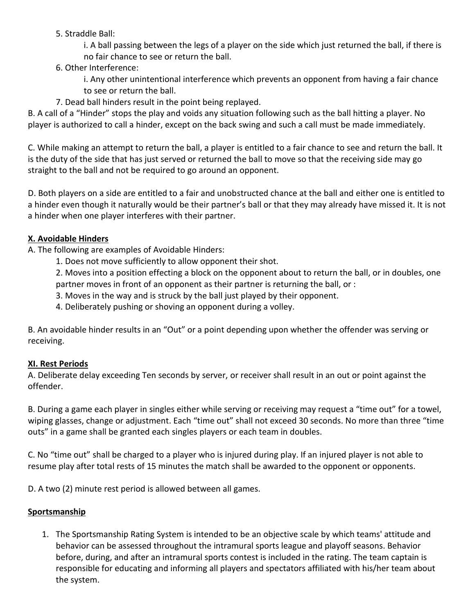- 5. Straddle Ball:
	- i. A ball passing between the legs of a player on the side which just returned the ball, if there is no fair chance to see or return the ball.
- 6. Other Interference:
	- i. Any other unintentional interference which prevents an opponent from having a fair chance to see or return the ball.
- 7. Dead ball hinders result in the point being replayed.

B. A call of a "Hinder" stops the play and voids any situation following such as the ball hitting a player. No player is authorized to call a hinder, except on the back swing and such a call must be made immediately.

C. While making an attempt to return the ball, a player is entitled to a fair chance to see and return the ball. It is the duty of the side that has just served or returned the ball to move so that the receiving side may go straight to the ball and not be required to go around an opponent.

D. Both players on a side are entitled to a fair and unobstructed chance at the ball and either one is entitled to a hinder even though it naturally would be their partner's ball or that they may already have missed it. It is not a hinder when one player interferes with their partner.

# **X. Avoidable Hinders**

A. The following are examples of Avoidable Hinders:

1. Does not move sufficiently to allow opponent their shot.

2. Moves into a position effecting a block on the opponent about to return the ball, or in doubles, one partner moves in front of an opponent as their partner is returning the ball, or :

- 3. Moves in the way and is struck by the ball just played by their opponent.
- 4. Deliberately pushing or shoving an opponent during a volley.

B. An avoidable hinder results in an "Out" or a point depending upon whether the offender was serving or receiving.

# **XI. Rest Periods**

A. Deliberate delay exceeding Ten seconds by server, or receiver shall result in an out or point against the offender.

B. During a game each player in singles either while serving or receiving may request a "time out" for a towel, wiping glasses, change or adjustment. Each "time out" shall not exceed 30 seconds. No more than three "time outs" in a game shall be granted each singles players or each team in doubles.

C. No "time out" shall be charged to a player who is injured during play. If an injured player is not able to resume play after total rests of 15 minutes the match shall be awarded to the opponent or opponents.

D. A two (2) minute rest period is allowed between all games.

# **Sportsmanship**

1. The Sportsmanship Rating System is intended to be an objective scale by which teams' attitude and behavior can be assessed throughout the intramural sports league and playoff seasons. Behavior before, during, and after an intramural sports contest is included in the rating. The team captain is responsible for educating and informing all players and spectators affiliated with his/her team about the system.